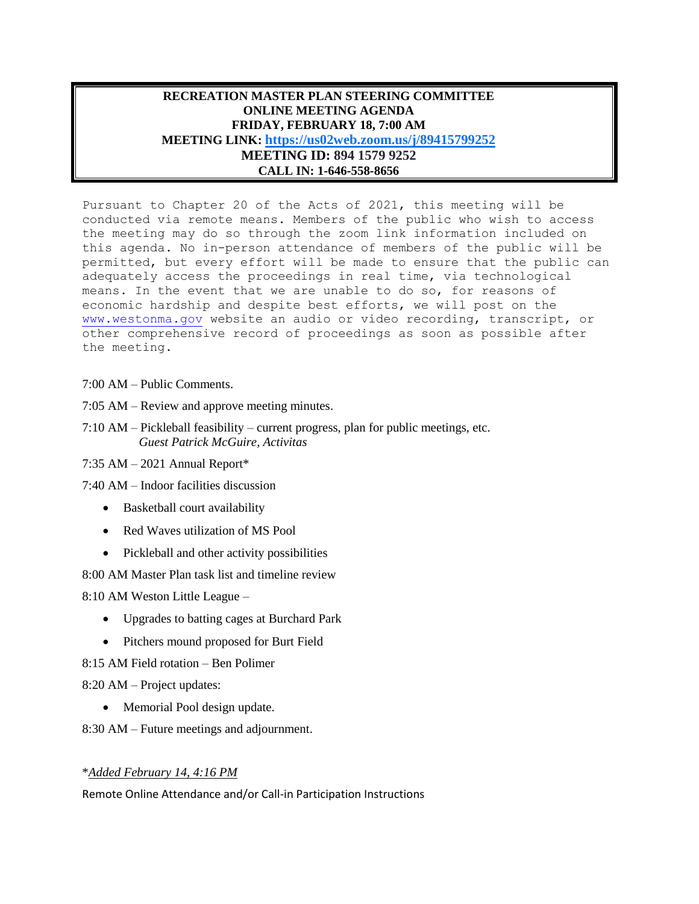## **RECREATION MASTER PLAN STEERING COMMITTEE ONLINE MEETING AGENDA FRIDAY, FEBRUARY 18, 7:00 AM MEETING LINK: <https://us02web.zoom.us/j/89415799252> MEETING ID: 894 1579 9252 CALL IN: 1-646-558-8656**

Pursuant to Chapter 20 of the Acts of 2021, this meeting will be conducted via remote means. Members of the public who wish to access the meeting may do so through the zoom link information included on this agenda. No in-person attendance of members of the public will be permitted, but every effort will be made to ensure that the public can adequately access the proceedings in real time, via technological means. In the event that we are unable to do so, for reasons of economic hardship and despite best efforts, we will post on the [www.westonma.gov](http://www.westonma.gov/) website an audio or video recording, transcript, or other comprehensive record of proceedings as soon as possible after the meeting.

- 7:00 AM Public Comments.
- 7:05 AM Review and approve meeting minutes.
- 7:10 AM Pickleball feasibility current progress, plan for public meetings, etc.  *Guest Patrick McGuire, Activitas*
- 7:35 AM 2021 Annual Report\*

7:40 AM – Indoor facilities discussion

- Basketball court availability
- Red Waves utilization of MS Pool
- Pickleball and other activity possibilities

8:00 AM Master Plan task list and timeline review

8:10 AM Weston Little League –

- Upgrades to batting cages at Burchard Park
- Pitchers mound proposed for Burt Field
- 8:15 AM Field rotation Ben Polimer
- 8:20 AM Project updates:
	- Memorial Pool design update.

8:30 AM – Future meetings and adjournment.

## \**Added February 14, 4:16 PM*

Remote Online Attendance and/or Call-in Participation Instructions